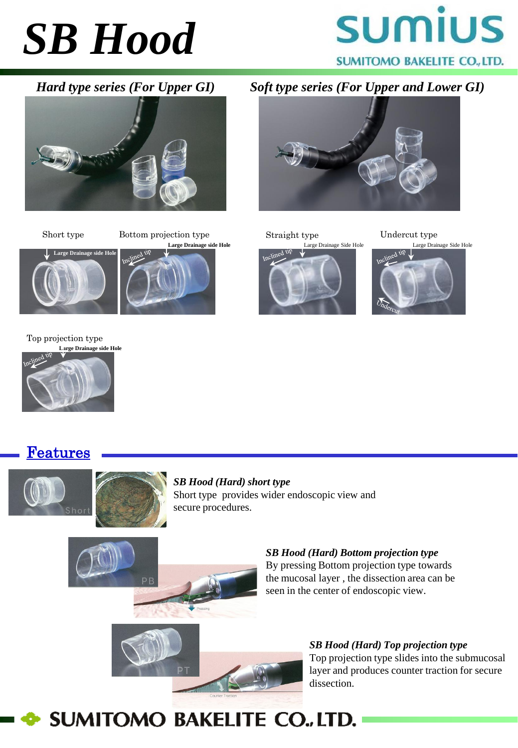## *SB Hood*





Short type Bottom projection type **Large Drainage side Hole**



*Hard type series (For Upper GI) Soft type series (For Upper and Lower GI)*



Straight type Undercut type



Large Drainage Side Hole Large Drainage Side Hole



Top projection type **Large Drainage side Hole**



Features





*SB Hood (Hard) short type* Short type provides wider endoscopic view and secure procedures.



*SB Hood (Hard) Bottom projection type* By pressing Bottom projection type towards the mucosal layer , the dissection area can be seen in the center of endoscopic view.





**SUMITOMO BAKELITE CO., LTD.**